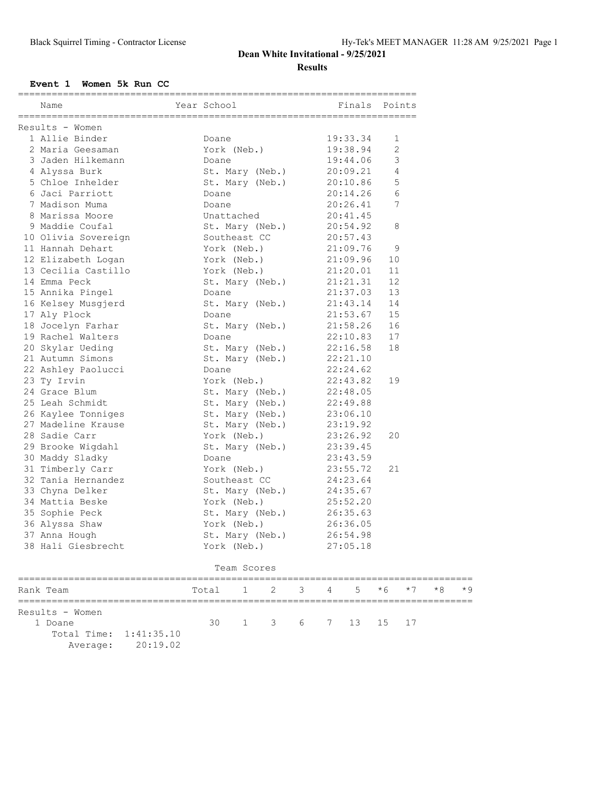## **Dean White Invitational - 9/25/2021 Results**

#### **Event 1 Women 5k Run CC**

| Name                                  | Year School <b>Example 19 Finals</b> Points                                       |                                  |                      |      |
|---------------------------------------|-----------------------------------------------------------------------------------|----------------------------------|----------------------|------|
| Results - Women                       |                                                                                   |                                  |                      |      |
| 1 Allie Binder                        | Doane                                                                             | 19:33.34                         | 1                    |      |
| 2 Maria Geesaman                      | York (Neb.) 19:38.94                                                              |                                  | 2                    |      |
| 3 Jaden Hilkemann                     | Doane                                                                             | 19:44.06                         | 3                    |      |
| 4 Alyssa Burk                         | St. Mary (Neb.) 20:09.21                                                          |                                  | 4                    |      |
| 5 Chloe Inhelder                      | St. Mary (Neb.) 20:10.86                                                          |                                  | 5                    |      |
| 6 Jaci Parriott                       | Doane                                                                             | 20:14.26<br>20:26.41<br>20:41.45 | 6                    |      |
| 7 Madison Muma                        | Doane                                                                             |                                  | 7                    |      |
| 8 Marissa Moore                       | Unattached                                                                        |                                  |                      |      |
| 9 Maddie Coufal                       | St. Mary (Neb.) 20:54.92                                                          |                                  | 8                    |      |
| 10 Olivia Sovereign                   | Southeast CC 20:57.43                                                             |                                  |                      |      |
| 11 Hannah Dehart                      | York (Neb.) 21:09.76                                                              |                                  | 9                    |      |
| 12 Elizabeth Logan                    | York (Neb.) 21:09.96 10<br>York (Neb.) 21:20.01 11<br>St. Mary (Neb.) 21:21.31 12 |                                  |                      |      |
| 13 Cecilia Castillo                   |                                                                                   |                                  |                      |      |
| 14 Emma Peck                          |                                                                                   |                                  |                      |      |
| 15 Annika Pingel                      | Doane                                                                             | 21:37.03                         | 13                   |      |
| 16 Kelsey Musgjerd                    | St. Mary (Neb.) 21:43.14                                                          |                                  | 14                   |      |
| 17 Aly Plock                          | Doane                                                                             | 21:53.67                         | 15                   |      |
| 18 Jocelyn Farhar                     | St. Mary (Neb.) 21:58.26                                                          |                                  | 16                   |      |
| 19 Rachel Walters                     | Doane                                                                             | 22:10.83                         | 17                   |      |
| 20 Skylar Ueding                      | St. Mary (Neb.) 22:16.58                                                          |                                  | 18                   |      |
| 21 Autumn Simons                      | St. Mary (Neb.) 22:21.10                                                          |                                  |                      |      |
| 22 Ashley Paolucci                    | Doane                                                                             | 22:24.62                         |                      |      |
| 23 Ty Irvin                           | York (Neb.) 22:43.82                                                              |                                  | 19                   |      |
| 24 Grace Blum                         | St. Mary (Neb.) 22:48.05                                                          |                                  |                      |      |
| 25 Leah Schmidt                       | St. Mary (Neb.)<br>St. Mary (Neb.)                                                | 22:49.88<br>23:06.10             |                      |      |
| 26 Kaylee Tonniges                    |                                                                                   |                                  |                      |      |
| 27 Madeline Krause                    | St. Mary (Neb.) 23:19.92                                                          |                                  |                      |      |
| 28 Sadie Carr                         | York (Neb.) 23:26.92                                                              |                                  | 20                   |      |
| 29 Brooke Wigdahl                     | St. Mary (Neb.) 23:39.45                                                          |                                  |                      |      |
| 30 Maddy Sladky                       | Doane                                                                             | 23:43.59<br>23:55.72<br>24:23.64 |                      |      |
| 31 Timberly Carr                      | York (Neb.)                                                                       |                                  | 21                   |      |
| 32 Tania Hernandez<br>22 Citro Polker | Southeast CC                                                                      |                                  |                      |      |
| 33 Chyna Delker                       | St. Mary (Neb.) 24:35.67                                                          |                                  |                      |      |
| 34 Mattia Beske                       | York (Neb.)                                                                       | 25:52.20                         |                      |      |
| 35 Sophie Peck                        | St. Mary (Neb.) 26:35.63                                                          |                                  |                      |      |
| 36 Alyssa Shaw                        | York (Neb.) 26:36.05<br>St. Mary (Neb.) 26:54.98                                  |                                  |                      |      |
| 37 Anna Hough                         |                                                                                   |                                  |                      |      |
| 38 Hali Giesbrecht                    | York (Neb.)                                                                       | 27:05.18                         |                      |      |
|                                       | Team Scores                                                                       |                                  |                      |      |
| Rank Team                             | 3<br>2<br>Total<br>1                                                              | 5<br>4                           | $*6$<br>$*7$<br>$*8$ | $*9$ |
| Results - Women                       |                                                                                   |                                  |                      |      |
| 1 Doane                               | 30<br>3<br>$\mathbf{1}$<br>6                                                      | 13<br>7                          | 15<br>17             |      |

 Total Time: 1:41:35.10 Average: 20:19.02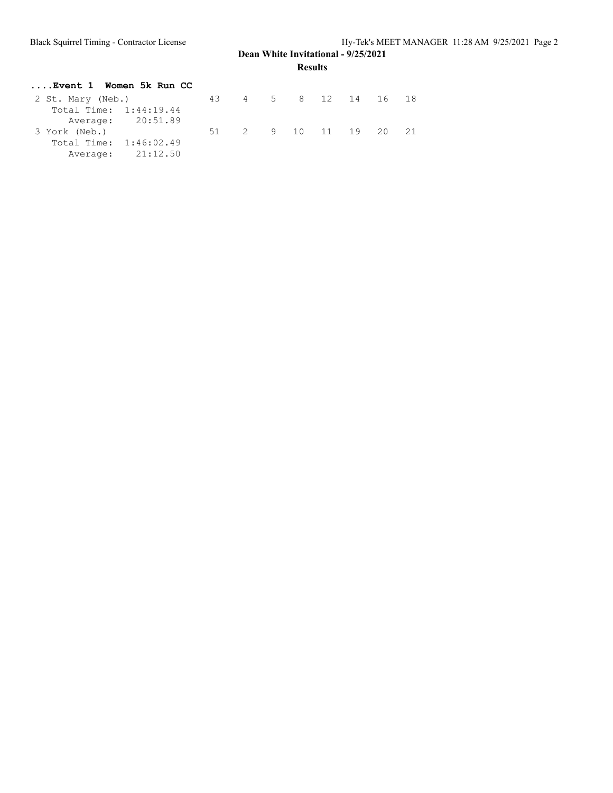## **Dean White Invitational - 9/25/2021 Results**

| Event 1 Women 5k Run CC |                      |  |  |                    |  |
|-------------------------|----------------------|--|--|--------------------|--|
| 2 St. Mary (Neb.)       | 43 4 5 8 12 14 16 18 |  |  |                    |  |
| Total Time: 1:44:19.44  |                      |  |  |                    |  |
| Average: 20:51.89       |                      |  |  |                    |  |
| 3 York (Neb.)           |                      |  |  | 2 9 10 11 19 20 21 |  |
| Total Time: 1:46:02.49  |                      |  |  |                    |  |
| Average: 21:12.50       |                      |  |  |                    |  |